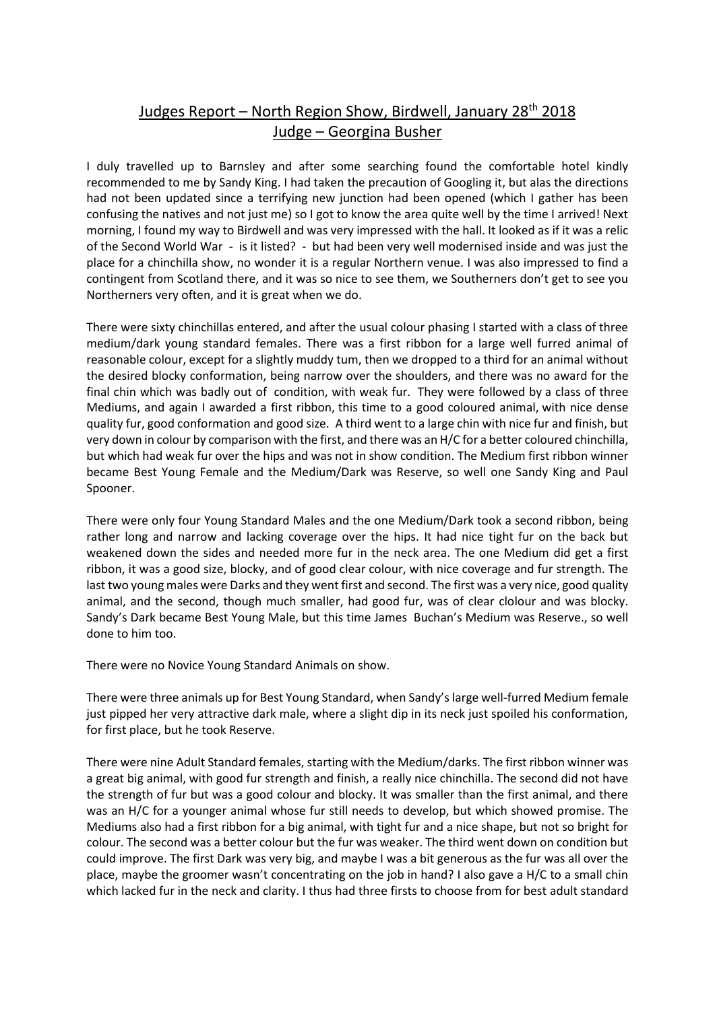## Judges Report – North Region Show, Birdwell, January 28<sup>th</sup> 2018 Judge – Georgina Busher

I duly travelled up to Barnsley and after some searching found the comfortable hotel kindly recommended to me by Sandy King. I had taken the precaution of Googling it, but alas the directions had not been updated since a terrifying new junction had been opened (which I gather has been confusing the natives and not just me) so I got to know the area quite well by the time I arrived! Next morning, I found my way to Birdwell and was very impressed with the hall. It looked as if it was a relic of the Second World War - is it listed? - but had been very well modernised inside and was just the place for a chinchilla show, no wonder it is a regular Northern venue. I was also impressed to find a contingent from Scotland there, and it was so nice to see them, we Southerners don't get to see you Northerners very often, and it is great when we do.

There were sixty chinchillas entered, and after the usual colour phasing I started with a class of three medium/dark young standard females. There was a first ribbon for a large well furred animal of reasonable colour, except for a slightly muddy tum, then we dropped to a third for an animal without the desired blocky conformation, being narrow over the shoulders, and there was no award for the final chin which was badly out of condition, with weak fur. They were followed by a class of three Mediums, and again I awarded a first ribbon, this time to a good coloured animal, with nice dense quality fur, good conformation and good size. A third went to a large chin with nice fur and finish, but very down in colour by comparison with the first, and there was an H/C for a better coloured chinchilla, but which had weak fur over the hips and was not in show condition. The Medium first ribbon winner became Best Young Female and the Medium/Dark was Reserve, so well one Sandy King and Paul Spooner.

There were only four Young Standard Males and the one Medium/Dark took a second ribbon, being rather long and narrow and lacking coverage over the hips. It had nice tight fur on the back but weakened down the sides and needed more fur in the neck area. The one Medium did get a first ribbon, it was a good size, blocky, and of good clear colour, with nice coverage and fur strength. The last two young males were Darks and they went first and second. The first was a very nice, good quality animal, and the second, though much smaller, had good fur, was of clear clolour and was blocky. Sandy's Dark became Best Young Male, but this time James Buchan's Medium was Reserve., so well done to him too.

There were no Novice Young Standard Animals on show.

There were three animals up for Best Young Standard, when Sandy's large well-furred Medium female just pipped her very attractive dark male, where a slight dip in its neck just spoiled his conformation, for first place, but he took Reserve.

There were nine Adult Standard females, starting with the Medium/darks. The first ribbon winner was a great big animal, with good fur strength and finish, a really nice chinchilla. The second did not have the strength of fur but was a good colour and blocky. It was smaller than the first animal, and there was an H/C for a younger animal whose fur still needs to develop, but which showed promise. The Mediums also had a first ribbon for a big animal, with tight fur and a nice shape, but not so bright for colour. The second was a better colour but the fur was weaker. The third went down on condition but could improve. The first Dark was very big, and maybe I was a bit generous as the fur was all over the place, maybe the groomer wasn't concentrating on the job in hand? I also gave a H/C to a small chin which lacked fur in the neck and clarity. I thus had three firsts to choose from for best adult standard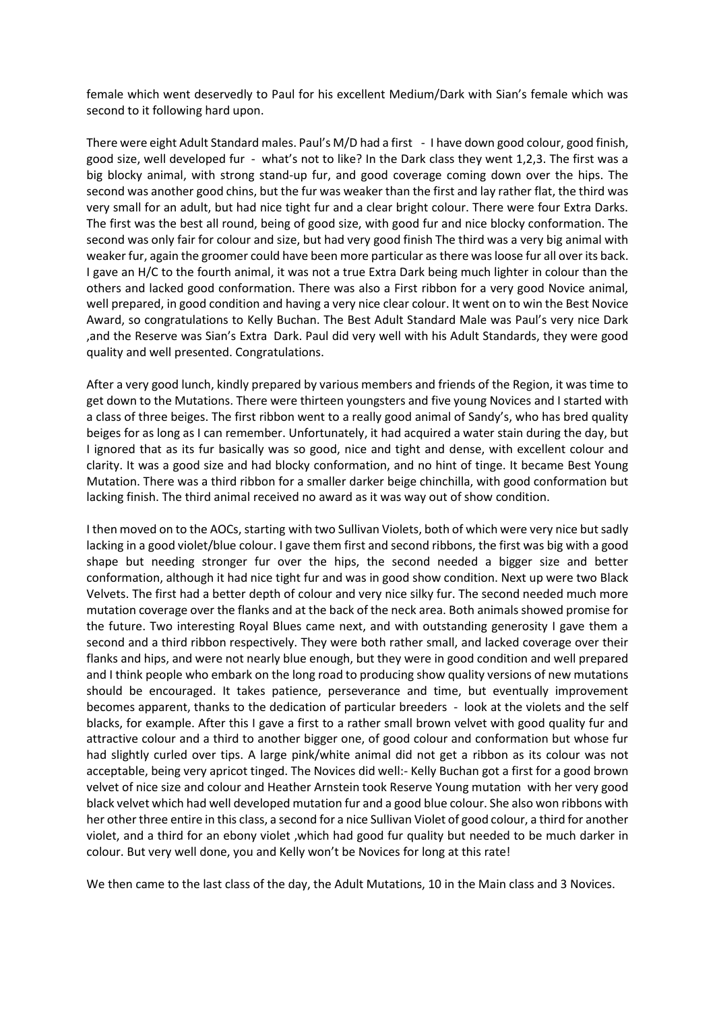female which went deservedly to Paul for his excellent Medium/Dark with Sian's female which was second to it following hard upon.

There were eight Adult Standard males. Paul's M/D had a first - I have down good colour, good finish, good size, well developed fur - what's not to like? In the Dark class they went 1,2,3. The first was a big blocky animal, with strong stand-up fur, and good coverage coming down over the hips. The second was another good chins, but the fur was weaker than the first and lay rather flat, the third was very small for an adult, but had nice tight fur and a clear bright colour. There were four Extra Darks. The first was the best all round, being of good size, with good fur and nice blocky conformation. The second was only fair for colour and size, but had very good finish The third was a very big animal with weaker fur, again the groomer could have been more particular as there was loose fur all over its back. I gave an H/C to the fourth animal, it was not a true Extra Dark being much lighter in colour than the others and lacked good conformation. There was also a First ribbon for a very good Novice animal, well prepared, in good condition and having a very nice clear colour. It went on to win the Best Novice Award, so congratulations to Kelly Buchan. The Best Adult Standard Male was Paul's very nice Dark ,and the Reserve was Sian's Extra Dark. Paul did very well with his Adult Standards, they were good quality and well presented. Congratulations.

After a very good lunch, kindly prepared by various members and friends of the Region, it was time to get down to the Mutations. There were thirteen youngsters and five young Novices and I started with a class of three beiges. The first ribbon went to a really good animal of Sandy's, who has bred quality beiges for as long as I can remember. Unfortunately, it had acquired a water stain during the day, but I ignored that as its fur basically was so good, nice and tight and dense, with excellent colour and clarity. It was a good size and had blocky conformation, and no hint of tinge. It became Best Young Mutation. There was a third ribbon for a smaller darker beige chinchilla, with good conformation but lacking finish. The third animal received no award as it was way out of show condition.

I then moved on to the AOCs, starting with two Sullivan Violets, both of which were very nice but sadly lacking in a good violet/blue colour. I gave them first and second ribbons, the first was big with a good shape but needing stronger fur over the hips, the second needed a bigger size and better conformation, although it had nice tight fur and was in good show condition. Next up were two Black Velvets. The first had a better depth of colour and very nice silky fur. The second needed much more mutation coverage over the flanks and at the back of the neck area. Both animals showed promise for the future. Two interesting Royal Blues came next, and with outstanding generosity I gave them a second and a third ribbon respectively. They were both rather small, and lacked coverage over their flanks and hips, and were not nearly blue enough, but they were in good condition and well prepared and I think people who embark on the long road to producing show quality versions of new mutations should be encouraged. It takes patience, perseverance and time, but eventually improvement becomes apparent, thanks to the dedication of particular breeders - look at the violets and the self blacks, for example. After this I gave a first to a rather small brown velvet with good quality fur and attractive colour and a third to another bigger one, of good colour and conformation but whose fur had slightly curled over tips. A large pink/white animal did not get a ribbon as its colour was not acceptable, being very apricot tinged. The Novices did well:- Kelly Buchan got a first for a good brown velvet of nice size and colour and Heather Arnstein took Reserve Young mutation with her very good black velvet which had well developed mutation fur and a good blue colour. She also won ribbons with her other three entire in this class, a second for a nice Sullivan Violet of good colour, a third for another violet, and a third for an ebony violet ,which had good fur quality but needed to be much darker in colour. But very well done, you and Kelly won't be Novices for long at this rate!

We then came to the last class of the day, the Adult Mutations, 10 in the Main class and 3 Novices.